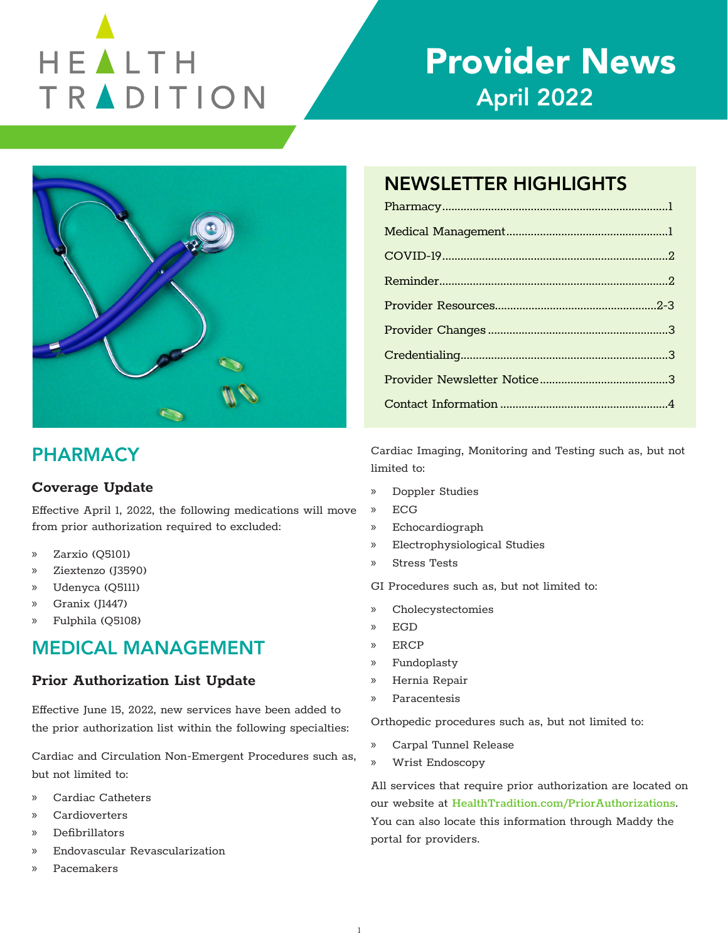# HEALTH TRADITION

## Provider News April 2022



## **PHARMACY**

## **Coverage Update**

Effective April 1, 2022, the following medications will move from prior authorization required to excluded:

- » Zarxio (Q5101)
- » Ziextenzo (J3590)
- » Udenyca (Q5111)
- » Granix (J1447)
- » Fulphila (Q5108)

## MEDICAL MANAGEMENT

## **Prior Authorization List Update**

Effective June 15, 2022, new services have been added to the prior authorization list within the following specialties:

Cardiac and Circulation Non-Emergent Procedures such as, but not limited to:

- » Cardiac Catheters
- » Cardioverters
- » Defibrillators
- » Endovascular Revascularization
- » Pacemakers

## NEWSLETTER HIGHLIGHTS

Cardiac Imaging, Monitoring and Testing such as, but not limited to:

- » Doppler Studies
- » ECG
- » Echocardiograph
- » Electrophysiological Studies
- » Stress Tests

GI Procedures such as, but not limited to:

- » Cholecystectomies
- » EGD
- » ERCP
- » Fundoplasty
- » Hernia Repair
- » Paracentesis

Orthopedic procedures such as, but not limited to:

- » Carpal Tunnel Release
- » Wrist Endoscopy

All services that require prior authorization are located on our website at [HealthTradition.com/PriorAuthorizations](https://www.healthtradition.com/prior-authorizations). You can also locate this information through Maddy the portal for providers.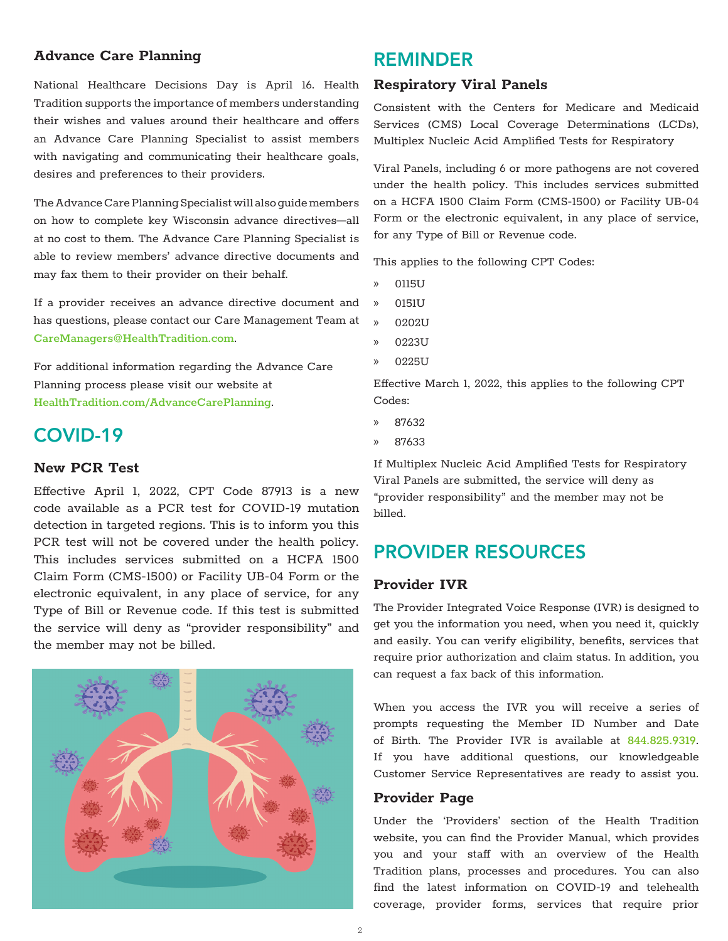#### **Advance Care Planning**

National Healthcare Decisions Day is April 16. Health Tradition supports the importance of members understanding their wishes and values around their healthcare and offers an Advance Care Planning Specialist to assist members with navigating and communicating their healthcare goals, desires and preferences to their providers.

The Advance Care Planning Specialist will also guide members on how to complete key Wisconsin advance directives—all at no cost to them. The Advance Care Planning Specialist is able to review members' advance directive documents and may fax them to their provider on their behalf.

If a provider receives an advance directive document and has questions, please contact our Care Management Team at [CareManagers@HealthTradition.com](mailto:CareManagers%40HealthTradition.com?subject=).

For additional information regarding the Advance Care Planning process please visit our website at [HealthTradition.com/AdvanceCarePlanning](https://www.healthtradition.com/members/care-management/advance-care-planning).

## COVID-19

#### **New PCR Test**

Effective April 1, 2022, CPT Code 87913 is a new code available as a PCR test for COVID-19 mutation detection in targeted regions. This is to inform you this PCR test will not be covered under the health policy. This includes services submitted on a HCFA 1500 Claim Form (CMS-1500) or Facility UB-04 Form or the electronic equivalent, in any place of service, for any Type of Bill or Revenue code. If this test is submitted the service will deny as "provider responsibility" and the member may not be billed.

## REMINDER

#### **Respiratory Viral Panels**

Consistent with the Centers for Medicare and Medicaid Services (CMS) Local Coverage Determinations (LCDs), Multiplex Nucleic Acid Amplified Tests for Respiratory

Viral Panels, including 6 or more pathogens are not covered under the health policy. This includes services submitted on a HCFA 1500 Claim Form (CMS-1500) or Facility UB-04 Form or the electronic equivalent, in any place of service, for any Type of Bill or Revenue code.

This applies to the following CPT Codes:

- » 0115U
- » 0151U
- » 0202U
- » 0223U
- » 0225U

Effective March 1, 2022, this applies to the following CPT Codes:

- » 87632
- » 87633

If Multiplex Nucleic Acid Amplified Tests for Respiratory Viral Panels are submitted, the service will deny as "provider responsibility" and the member may not be billed.

## PROVIDER RESOURCES

#### **Provider IVR**

The Provider Integrated Voice Response (IVR) is designed to get you the information you need, when you need it, quickly and easily. You can verify eligibility, benefits, services that require prior authorization and claim status. In addition, you can request a fax back of this information.

When you access the IVR you will receive a series of prompts requesting the Member ID Number and Date of Birth. The Provider IVR is available at 844.825.9319. If you have additional questions, our knowledgeable Customer Service Representatives are ready to assist you.

#### **Provider Page**

Under the 'Providers' section of the Health Tradition website, you can find the Provider Manual, which provides you and your staff with an overview of the Health Tradition plans, processes and procedures. You can also find the latest information on COVID-19 and telehealth coverage, provider forms, services that require prior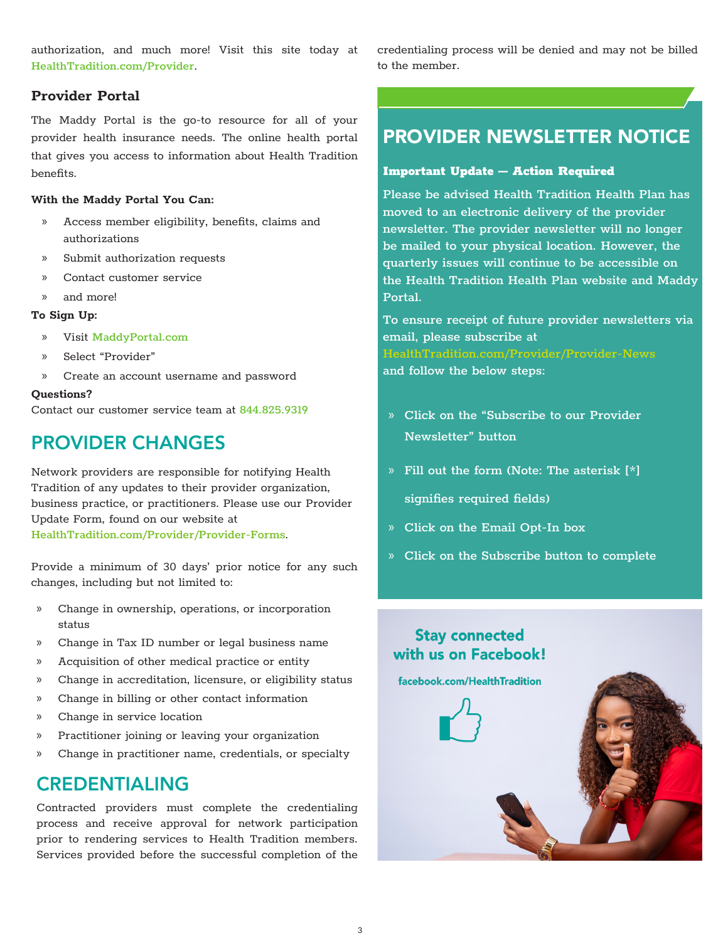authorization, and much more! Visit this site today at [HealthTradition.com/Provider](https://www.healthtradition.com/provider).

#### **Provider Portal**

The Maddy Portal is the go-to resource for all of your provider health insurance needs. The online health portal that gives you access to information about Health Tradition benefits.

#### **With the Maddy Portal You Can:**

- » Access member eligibility, benefits, claims and authorizations
- » Submit authorization requests
- » Contact customer service
- » and more!

#### **To Sign Up:**

- » Visit [MaddyPortal.com](https://MaddyPortal.com)
- » Select "Provider"
- » Create an account username and password

#### **Questions?**

Contact our customer service team at 844.825.9319

## PROVIDER CHANGES

Network providers are responsible for notifying Health Tradition of any updates to their provider organization, business practice, or practitioners. Please use our Provider Update Form, found on our website at [HealthTradition.com/Provider/Provider-Forms](https://www.healthtradition.com/provider/provider-forms).

Provide a minimum of 30 days' prior notice for any such changes, including but not limited to:

- » Change in ownership, operations, or incorporation status
- » Change in Tax ID number or legal business name
- » Acquisition of other medical practice or entity
- » Change in accreditation, licensure, or eligibility status
- » Change in billing or other contact information
- » Change in service location
- » Practitioner joining or leaving your organization
- » Change in practitioner name, credentials, or specialty

## CREDENTIALING

Contracted providers must complete the credentialing process and receive approval for network participation prior to rendering services to Health Tradition members. Services provided before the successful completion of the credentialing process will be denied and may not be billed to the member.

## [PROVIDER NEWSLETTER NOTICE](http://www.facebook.com/HealthTradition)

#### Important Update – Action Required

Please be advised Health Tradition Health Plan has moved to an electronic delivery of the provider newsletter. The provider newsletter will no longer be mailed to your physical location. However, the quarterly issues will continue to be accessible on the Health Tradition Health Plan website and Maddy Portal.

To ensure receipt of future provider newsletters via email, please subscribe at [HealthTradition.com/Provider/Provider-News](https://www.healthtradition.com/provider/provider-news)  and follow the below steps:

- » Click on the "Subscribe to our Provider Newsletter" button
- » Fill out the form (Note: The asterisk [\*] signifies required fields)
- » Click on the Email Opt-In box
- » Click on the Subscribe button to complete

## **Stav connected** with us on Facebook!

facebook.com/HealthTradition